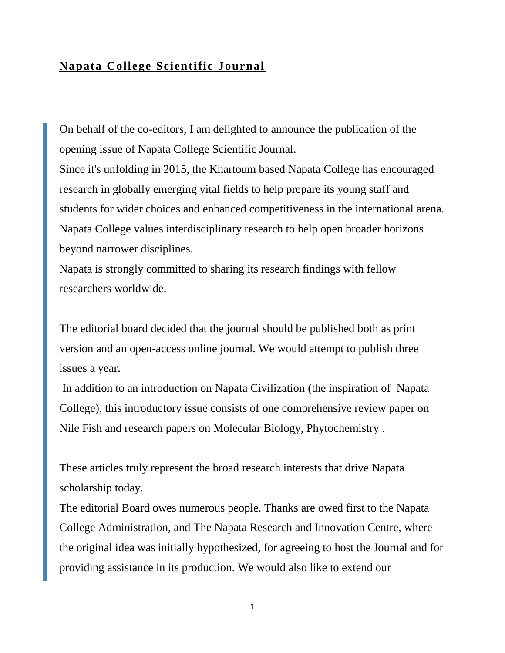## **Napata College Scientific Journal**

On behalf of the co-editors, I am delighted to announce the publication of the opening issue of Napata College Scientific Journal.

Since it's unfolding in 2015, the Khartoum based Napata College has encouraged research in globally emerging vital fields to help prepare its young staff and students for wider choices and enhanced competitiveness in the international arena. Napata College values interdisciplinary research to help open broader horizons beyond narrower disciplines.

Napata is strongly committed to sharing its research findings with fellow researchers worldwide.

The editorial board decided that the journal should be published both as print version and an open-access online journal. We would attempt to publish three issues a year.

In addition to an introduction on Napata Civilization (the inspiration of Napata College), this introductory issue consists of one comprehensive review paper on Nile Fish and research papers on Molecular Biology, Phytochemistry .

These articles truly represent the broad research interests that drive Napata scholarship today.

The editorial Board owes numerous people. Thanks are owed first to the Napata College Administration, and The Napata Research and Innovation Centre, where the original idea was initially hypothesized, for agreeing to host the Journal and for providing assistance in its production. We would also like to extend our

1